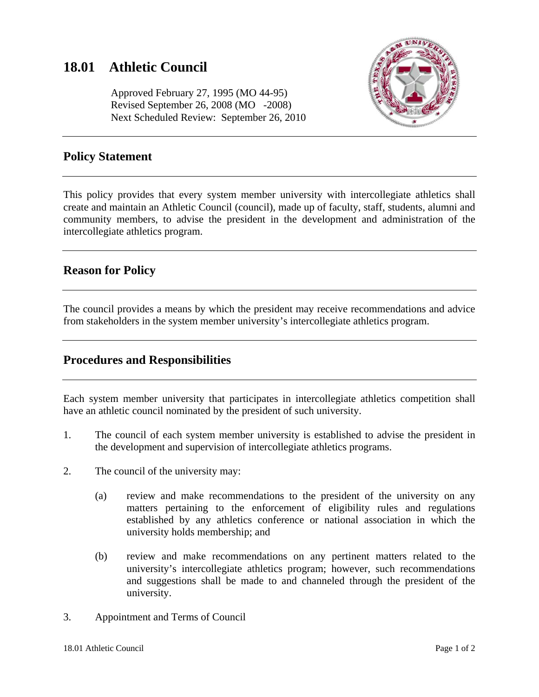# **18.01 Athletic Council**

 Approved February 27, 1995 (MO 44-95) Revised September 26, 2008 (MO -2008) Next Scheduled Review: September 26, 2010



#### **Policy Statement**

This policy provides that every system member university with intercollegiate athletics shall create and maintain an Athletic Council (council), made up of faculty, staff, students, alumni and community members, to advise the president in the development and administration of the intercollegiate athletics program.

## **Reason for Policy**

The council provides a means by which the president may receive recommendations and advice from stakeholders in the system member university's intercollegiate athletics program.

#### **Procedures and Responsibilities**

Each system member university that participates in intercollegiate athletics competition shall have an athletic council nominated by the president of such university.

- 1. The council of each system member university is established to advise the president in the development and supervision of intercollegiate athletics programs.
- 2. The council of the university may:
	- (a) review and make recommendations to the president of the university on any matters pertaining to the enforcement of eligibility rules and regulations established by any athletics conference or national association in which the university holds membership; and
	- (b) review and make recommendations on any pertinent matters related to the university's intercollegiate athletics program; however, such recommendations and suggestions shall be made to and channeled through the president of the university.
- 3. Appointment and Terms of Council